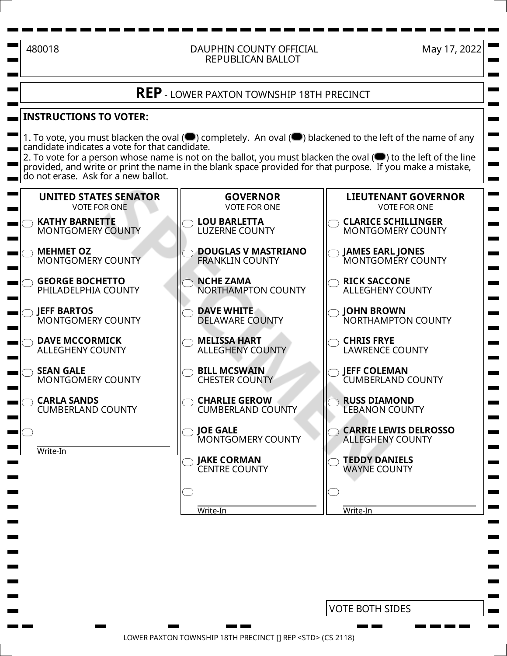## 480018 DAUPHIN COUNTY OFFICIAL REPUBLICAN BALLOT

May 17, 2022

## **REP**- LOWER PAXTON TOWNSHIP 18TH PRECINCT

## **INSTRUCTIONS TO VOTER:**

1. To vote, you must blacken the oval (**O**) completely. An oval (O) blackened to the left of the name of any candidate indicates a vote for that candidate.

2. To vote for a person whose name is not on the ballot, you must blacken the oval  $(\blacksquare)$  to the left of the line provided, and write or print the name in the blank space provided for that purpose. If you make a mistake, do not erase. Ask for a new ballot.